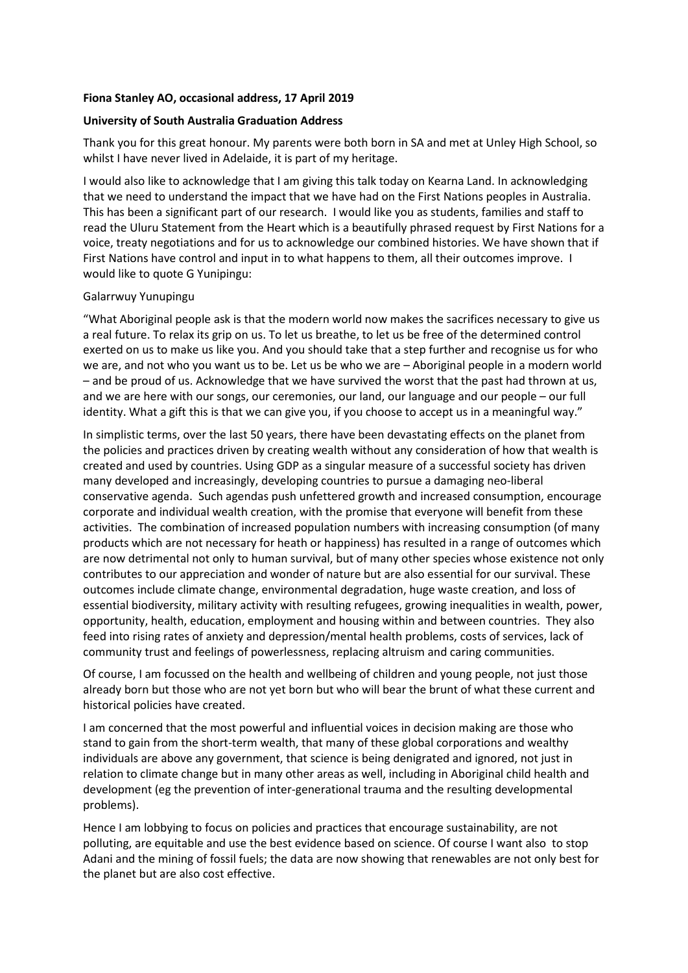## **Fiona Stanley AO, occasional address, 17 April 2019**

## **University of South Australia Graduation Address**

Thank you for this great honour. My parents were both born in SA and met at Unley High School, so whilst I have never lived in Adelaide, it is part of my heritage.

I would also like to acknowledge that I am giving this talk today on Kearna Land. In acknowledging that we need to understand the impact that we have had on the First Nations peoples in Australia. This has been a significant part of our research. I would like you as students, families and staff to read the Uluru Statement from the Heart which is a beautifully phrased request by First Nations for a voice, treaty negotiations and for us to acknowledge our combined histories. We have shown that if First Nations have control and input in to what happens to them, all their outcomes improve. I would like to quote G Yunipingu:

## Galarrwuy Yunupingu

"What Aboriginal people ask is that the modern world now makes the sacrifices necessary to give us a real future. To relax its grip on us. To let us breathe, to let us be free of the determined control exerted on us to make us like you. And you should take that a step further and recognise us for who we are, and not who you want us to be. Let us be who we are – Aboriginal people in a modern world – and be proud of us. Acknowledge that we have survived the worst that the past had thrown at us, and we are here with our songs, our ceremonies, our land, our language and our people – our full identity. What a gift this is that we can give you, if you choose to accept us in a meaningful way."

In simplistic terms, over the last 50 years, there have been devastating effects on the planet from the policies and practices driven by creating wealth without any consideration of how that wealth is created and used by countries. Using GDP as a singular measure of a successful society has driven many developed and increasingly, developing countries to pursue a damaging neo-liberal conservative agenda. Such agendas push unfettered growth and increased consumption, encourage corporate and individual wealth creation, with the promise that everyone will benefit from these activities. The combination of increased population numbers with increasing consumption (of many products which are not necessary for heath or happiness) has resulted in a range of outcomes which are now detrimental not only to human survival, but of many other species whose existence not only contributes to our appreciation and wonder of nature but are also essential for our survival. These outcomes include climate change, environmental degradation, huge waste creation, and loss of essential biodiversity, military activity with resulting refugees, growing inequalities in wealth, power, opportunity, health, education, employment and housing within and between countries. They also feed into rising rates of anxiety and depression/mental health problems, costs of services, lack of community trust and feelings of powerlessness, replacing altruism and caring communities.

Of course, I am focussed on the health and wellbeing of children and young people, not just those already born but those who are not yet born but who will bear the brunt of what these current and historical policies have created.

I am concerned that the most powerful and influential voices in decision making are those who stand to gain from the short-term wealth, that many of these global corporations and wealthy individuals are above any government, that science is being denigrated and ignored, not just in relation to climate change but in many other areas as well, including in Aboriginal child health and development (eg the prevention of inter-generational trauma and the resulting developmental problems).

Hence I am lobbying to focus on policies and practices that encourage sustainability, are not polluting, are equitable and use the best evidence based on science. Of course I want also to stop Adani and the mining of fossil fuels; the data are now showing that renewables are not only best for the planet but are also cost effective.